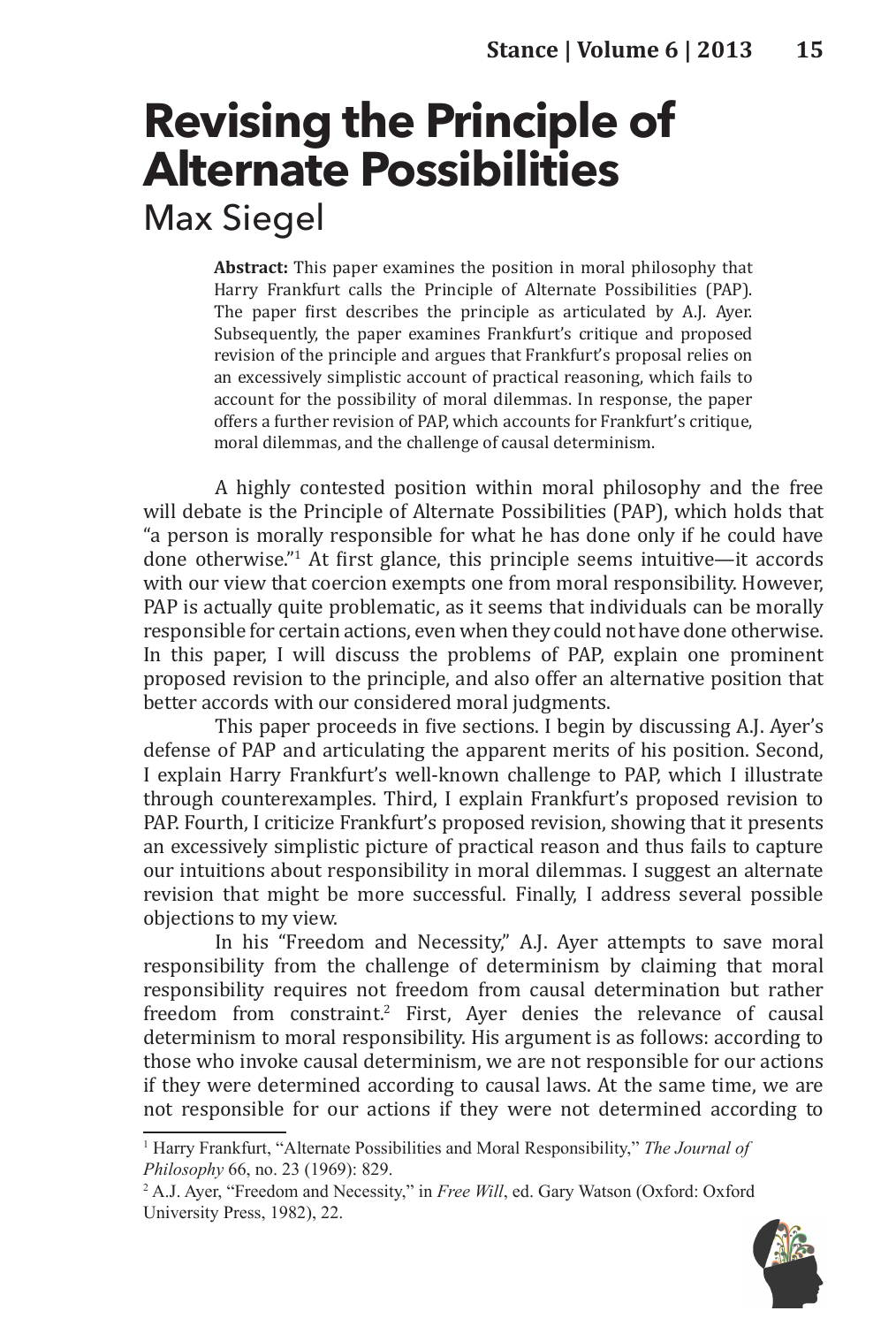## **Revising the Principle of Alternate Possibilities** Max Siegel

**Abstract:** This paper examines the position in moral philosophy that Harry Frankfurt calls the Principle of Alternate Possibilities (PAP). The paper first describes the principle as articulated by A.J. Ayer. Subsequently, the paper examines Frankfurt's critique and proposed revision of the principle and argues that Frankfurt's proposal relies on an excessively simplistic account of practical reasoning, which fails to account for the possibility of moral dilemmas. In response, the paper offers a further revision of PAP, which accounts for Frankfurt's critique, moral dilemmas, and the challenge of causal determinism.

A highly contested position within moral philosophy and the free will debate is the Principle of Alternate Possibilities (PAP), which holds that "a person is morally responsible for what he has done only if he could have done otherwise."<sup>1</sup> At first glance, this principle seems intuitive—it accords with our view that coercion exempts one from moral responsibility. However, PAP is actually quite problematic, as it seems that individuals can be morally responsible for certain actions, even when they could not have done otherwise. In this paper, I will discuss the problems of PAP, explain one prominent proposed revision to the principle, and also offer an alternative position that better accords with our considered moral judgments.

This paper proceeds in five sections. I begin by discussing A.J. Ayer's defense of PAP and articulating the apparent merits of his position. Second, I explain Harry Frankfurt's well-known challenge to PAP, which I illustrate through counterexamples. Third, I explain Frankfurt's proposed revision to PAP. Fourth, I criticize Frankfurt's proposed revision, showing that it presents an excessively simplistic picture of practical reason and thus fails to capture our intuitions about responsibility in moral dilemmas. I suggest an alternate revision that might be more successful. Finally, I address several possible objections to my view.

In his "Freedom and Necessity," A.J. Ayer attempts to save moral responsibility from the challenge of determinism by claiming that moral responsibility requires not freedom from causal determination but rather freedom from constraint.<sup>2</sup> First, Ayer denies the relevance of causal determinism to moral responsibility. His argument is as follows: according to those who invoke causal determinism, we are not responsible for our actions if they were determined according to causal laws. At the same time, we are not responsible for our actions if they were not determined according to

<sup>&</sup>lt;sup>2</sup> A.J. Ayer, "Freedom and Necessity," in *Free Will*, ed. Gary Watson (Oxford: Oxford University Press, 1982), 22.



<sup>&</sup>lt;sup>1</sup> Harry Frankfurt, "Alternate Possibilities and Moral Responsibility," The Journal of *Philosophy* 66, no. 23 (1969): 829.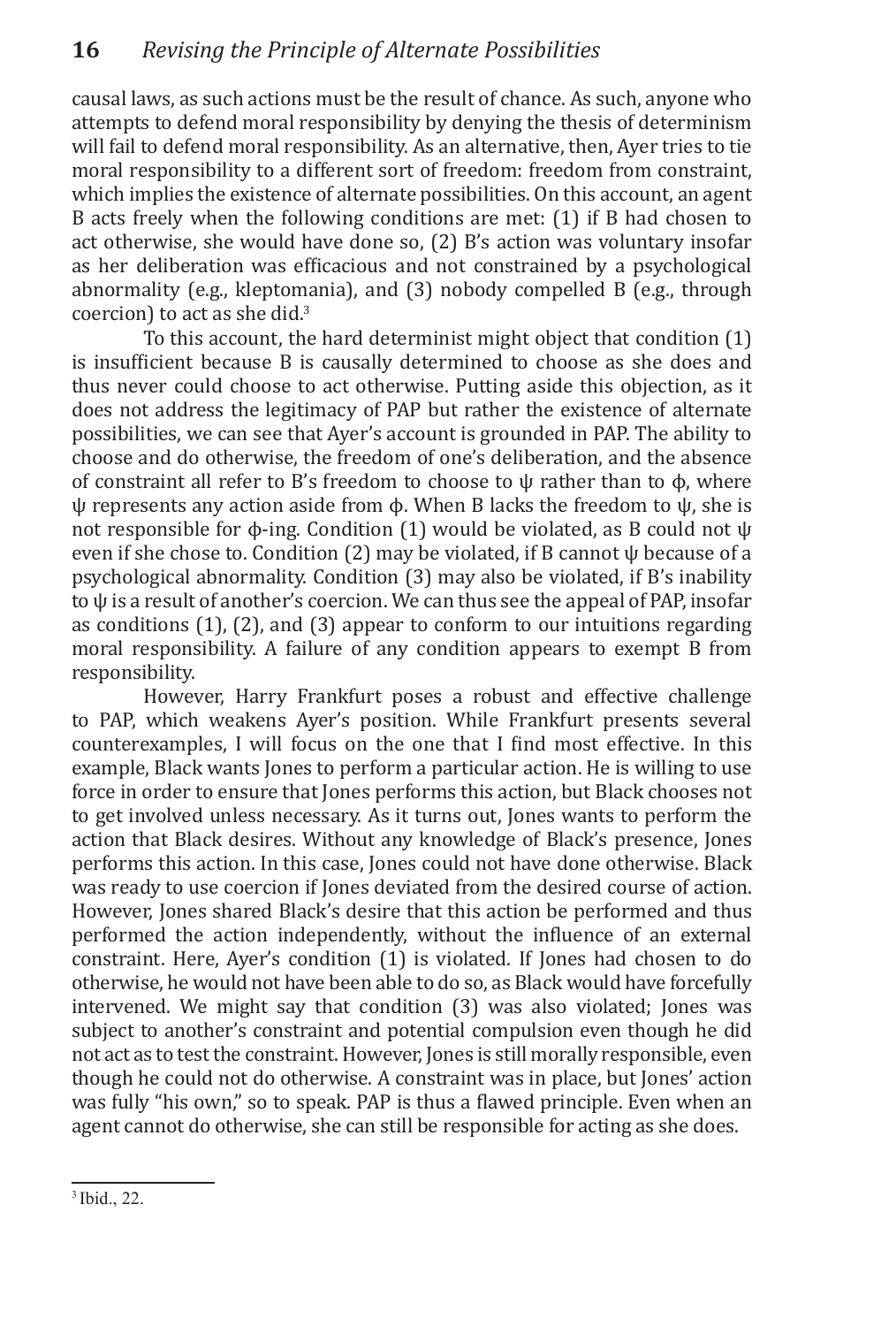causal laws, as such actions must be the result of chance. As such, anyone who attempts to defend moral responsibility by denying the thesis of determinism will fail to defend moral responsibility. As an alternative, then, Ayer tries to tie moral responsibility to a different sort of freedom: freedom from constraint, which implies the existence of alternate possibilities. On this account, an agent B acts freely when the following conditions are met: (1) if B had chosen to act otherwise, she would have done so, (2) B's action was voluntary insofar as her deliberation was efficacious and not constrained by a psychological abnormality (e.g., kleptomania), and (3) nobody compelled B (e.g., through coercion) to act as she did. $3$ 

To this account, the hard determinist might object that condition (1) is insufficient because B is causally determined to choose as she does and thus never could choose to act otherwise. Putting aside this objection, as it does not address the legitimacy of PAP but rather the existence of alternate possibilities, we can see that Ayer's account is grounded in PAP. The ability to choose and do otherwise, the freedom of one's deliberation, and the absence of constraint all refer to B's freedom to choose to ψ rather than to ϕ, where ψ represents any action aside from ϕ. When B lacks the freedom to ψ, she is not responsible for ϕ-ing. Condition (1) would be violated, as B could not ψ even if she chose to. Condition (2) may be violated, if B cannot ψ because of a psychological abnormality. Condition (3) may also be violated, if B's inability to ψ is a result of another's coercion. We can thus see the appeal of PAP, insofar as conditions (1), (2), and (3) appear to conform to our intuitions regarding moral responsibility. A failure of any condition appears to exempt B from responsibility.

However, Harry Frankfurt poses a robust and effective challenge to PAP, which weakens Ayer's position. While Frankfurt presents several counterexamples, I will focus on the one that I find most effective. In this example, Black wants Jones to perform a particular action. He is willing to use force in order to ensure that Jones performs this action, but Black chooses not to get involved unless necessary. As it turns out, Jones wants to perform the action that Black desires. Without any knowledge of Black's presence, Jones performs this action. In this case, Jones could not have done otherwise. Black was ready to use coercion if Jones deviated from the desired course of action. However, Jones shared Black's desire that this action be performed and thus performed the action independently, without the influence of an external constraint. Here, Ayer's condition (1) is violated. If Jones had chosen to do otherwise, he would not have been able to do so, as Black would have forcefully intervened. We might say that condition (3) was also violated; Jones was subject to another's constraint and potential compulsion even though he did not act as to test the constraint. However, Jones is still morally responsible, even though he could not do otherwise. A constraint was in place, but Jones' action was fully "his own," so to speak. PAP is thus a flawed principle. Even when an agent cannot do otherwise, she can still be responsible for acting as she does.

<sup>3</sup> Ibid., 22.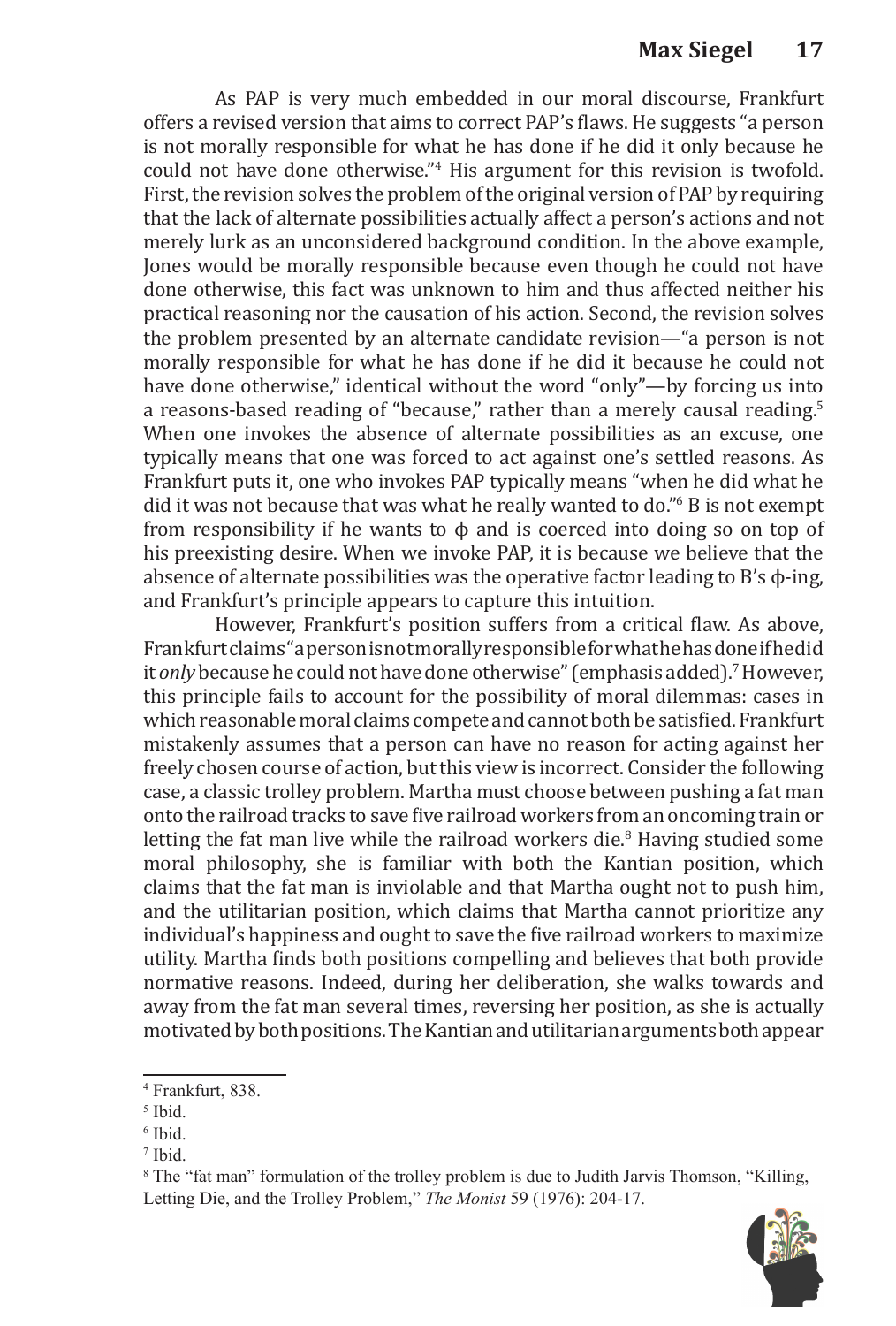As PAP is very much embedded in our moral discourse, Frankfurt offers a revised version that aims to correct PAP's flaws. He suggests "a person is not morally responsible for what he has done if he did it only because he could not have done otherwise."<sup>4</sup> His argument for this revision is twofold. First, the revision solves the problem of the original version of PAP by requiring that the lack of alternate possibilities actually affect a person's actions and not merely lurk as an unconsidered background condition. In the above example, Jones would be morally responsible because even though he could not have done otherwise, this fact was unknown to him and thus affected neither his practical reasoning nor the causation of his action. Second, the revision solves the problem presented by an alternate candidate revision—"a person is not morally responsible for what he has done if he did it because he could not have done otherwise," identical without the word "only"—by forcing us into a reasons-based reading of "because," rather than a merely causal reading.<sup>5</sup> When one invokes the absence of alternate possibilities as an excuse, one typically means that one was forced to act against one's settled reasons. As Frankfurt puts it, one who invokes PAP typically means "when he did what he did it was not because that was what he really wanted to do."<sup>6</sup> B is not exempt from responsibility if he wants to  $\phi$  and is coerced into doing so on top of his preexisting desire. When we invoke PAP, it is because we believe that the absence of alternate possibilities was the operative factor leading to B's  $\phi$ -ing, and Frankfurt's principle appears to capture this intuition.

However, Frankfurt's position suffers from a critical flaw. As above, Frankfurt claims "a person is not morally responsible for what he has done if he did it *only* because he could not have done otherwise" (emphasis added).<sup>7</sup> However, this principle fails to account for the possibility of moral dilemmas: cases in which reasonable moral claims compete and cannot both be satisfied. Frankfurt mistakenly assumes that a person can have no reason for acting against her freely chosen course of action, but this view is incorrect. Consider the following case, a classic trolley problem. Martha must choose between pushing a fat man onto the railroad tracks to save five railroad workers from an oncoming train or letting the fat man live while the railroad workers die.<sup>8</sup> Having studied some moral philosophy, she is familiar with both the Kantian position, which claims that the fat man is inviolable and that Martha ought not to push him, and the utilitarian position, which claims that Martha cannot prioritize any individual's happiness and ought to save the five railroad workers to maximize utility. Martha finds both positions compelling and believes that both provide normative reasons. Indeed, during her deliberation, she walks towards and away from the fat man several times, reversing her position, as she is actually motivated by both positions. The Kantian and utilitarian arguments both appear

7 Ibid.

<sup>&</sup>lt;sup>8</sup> The "fat man" formulation of the trolley problem is due to Judith Jarvis Thomson, "Killing, Letting Die, and the Trolley Problem," *The Monist* 59 (1976): 204-17.



<sup>4</sup> Frankfurt, 838.

<sup>5</sup> Ibid.

<sup>6</sup> Ibid.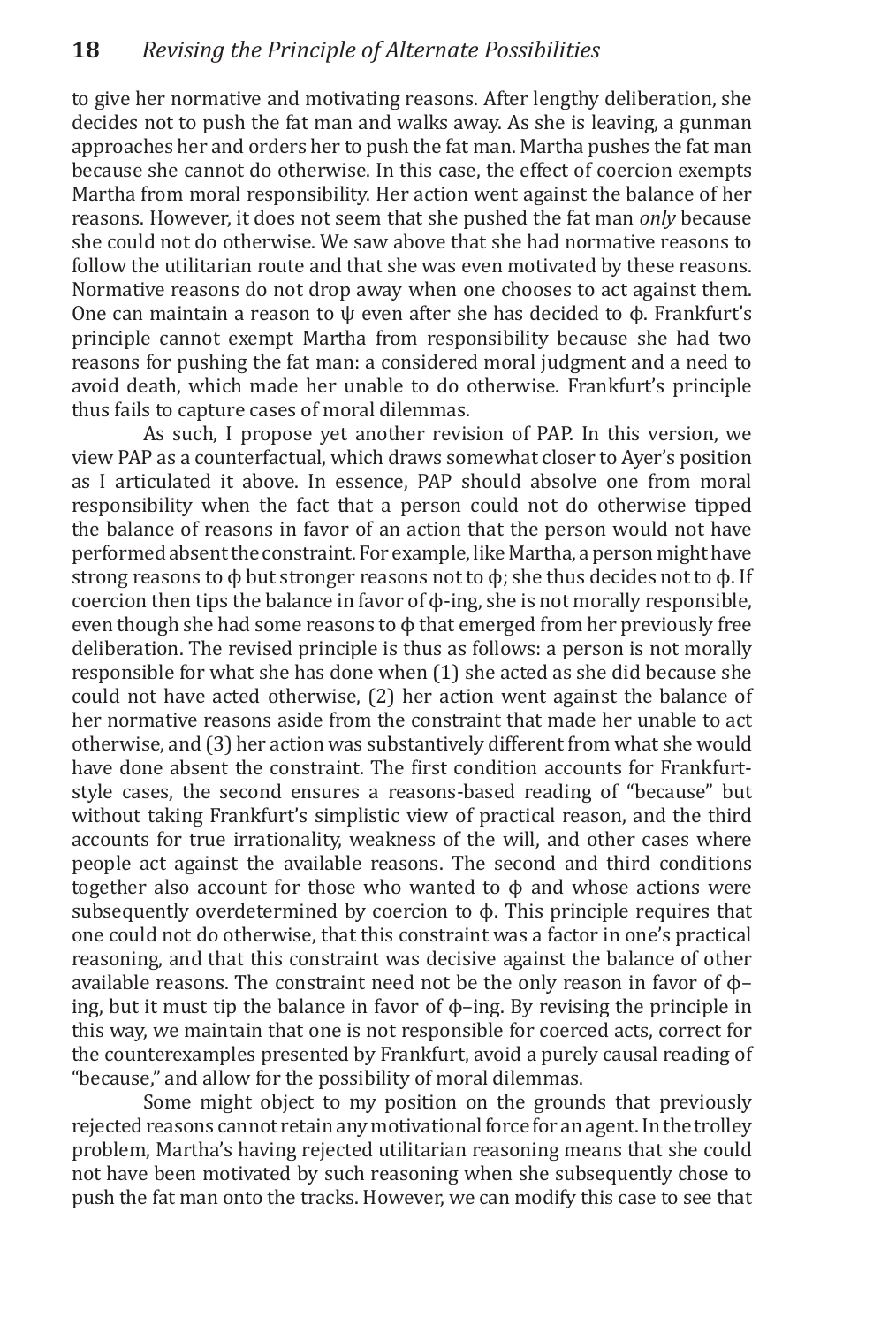to give her normative and motivating reasons. After lengthy deliberation, she decides not to push the fat man and walks away. As she is leaving, a gunman approaches her and orders her to push the fat man. Martha pushes the fat man because she cannot do otherwise. In this case, the effect of coercion exempts Martha from moral responsibility. Her action went against the balance of her reasons. However, it does not seem that she pushed the fat man *only* because she could not do otherwise. We saw above that she had normative reasons to follow the utilitarian route and that she was even motivated by these reasons. Normative reasons do not drop away when one chooses to act against them. One can maintain a reason to ψ even after she has decided to ϕ. Frankfurt's principle cannot exempt Martha from responsibility because she had two reasons for pushing the fat man: a considered moral judgment and a need to avoid death, which made her unable to do otherwise. Frankfurt's principle thus fails to capture cases of moral dilemmas.

As such, I propose yet another revision of PAP. In this version, we view PAP as a counterfactual, which draws somewhat closer to Ayer's position as I articulated it above. In essence, PAP should absolve one from moral responsibility when the fact that a person could not do otherwise tipped the balance of reasons in favor of an action that the person would not have performed absent the constraint. For example, like Martha, a person might have strong reasons to  $\phi$  but stronger reasons not to  $\phi$ ; she thus decides not to  $\phi$ . If coercion then tips the balance in favor of ϕ-ing, she is not morally responsible, even though she had some reasons to ϕ that emerged from her previously free deliberation. The revised principle is thus as follows: a person is not morally responsible for what she has done when (1) she acted as she did because she could not have acted otherwise, (2) her action went against the balance of her normative reasons aside from the constraint that made her unable to act otherwise, and (3) her action was substantively different from what she would have done absent the constraint. The first condition accounts for Frankfurtstyle cases, the second ensures a reasons-based reading of "because" but without taking Frankfurt's simplistic view of practical reason, and the third accounts for true irrationality, weakness of the will, and other cases where people act against the available reasons. The second and third conditions together also account for those who wanted to  $\phi$  and whose actions were subsequently overdetermined by coercion to ϕ. This principle requires that one could not do otherwise, that this constraint was a factor in one's practical reasoning, and that this constraint was decisive against the balance of other available reasons. The constraint need not be the only reason in favor of ϕ– ing, but it must tip the balance in favor of ϕ–ing. By revising the principle in this way, we maintain that one is not responsible for coerced acts, correct for the counterexamples presented by Frankfurt, avoid a purely causal reading of "because," and allow for the possibility of moral dilemmas.

Some might object to my position on the grounds that previously rejected reasons cannot retain any motivational force for an agent. In the trolley problem, Martha's having rejected utilitarian reasoning means that she could not have been motivated by such reasoning when she subsequently chose to push the fat man onto the tracks. However, we can modify this case to see that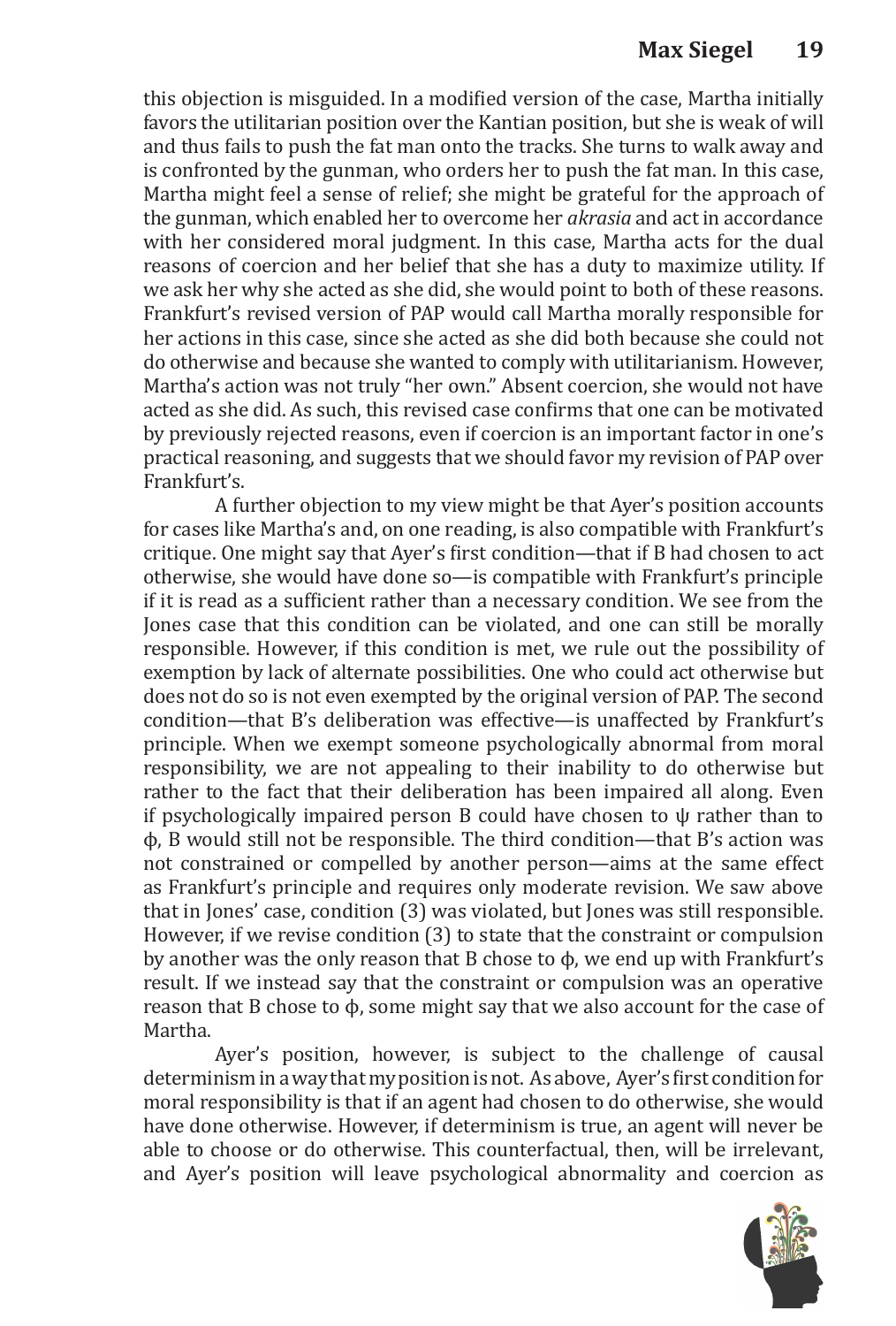this objection is misguided. In a modified version of the case, Martha initially favors the utilitarian position over the Kantian position, but she is weak of will and thus fails to push the fat man onto the tracks. She turns to walk away and is confronted by the gunman, who orders her to push the fat man. In this case, Martha might feel a sense of relief; she might be grateful for the approach of the gunman, which enabled her to overcome her *akrasia* and act in accordance with her considered moral judgment. In this case, Martha acts for the dual reasons of coercion and her belief that she has a duty to maximize utility. If we ask her why she acted as she did, she would point to both of these reasons. Frankfurt's revised version of PAP would call Martha morally responsible for her actions in this case, since she acted as she did both because she could not do otherwise and because she wanted to comply with utilitarianism. However, Martha's action was not truly "her own." Absent coercion, she would not have acted as she did. As such, this revised case confirms that one can be motivated by previously rejected reasons, even if coercion is an important factor in one's practical reasoning, and suggests that we should favor my revision of PAP over Frankfurt's.

A further objection to my view might be that Ayer's position accounts for cases like Martha's and, on one reading, is also compatible with Frankfurt's critique. One might say that Ayer's first condition—that if B had chosen to act otherwise, she would have done so—is compatible with Frankfurt's principle if it is read as a sufficient rather than a necessary condition. We see from the Jones case that this condition can be violated, and one can still be morally responsible. However, if this condition is met, we rule out the possibility of exemption by lack of alternate possibilities. One who could act otherwise but does not do so is not even exempted by the original version of PAP. The second condition—that B's deliberation was effective—is unaffected by Frankfurt's principle. When we exempt someone psychologically abnormal from moral responsibility, we are not appealing to their inability to do otherwise but rather to the fact that their deliberation has been impaired all along. Even if psychologically impaired person B could have chosen to  $\psi$  rather than to ϕ, B would still not be responsible. The third condition—that B's action was not constrained or compelled by another person—aims at the same effect as Frankfurt's principle and requires only moderate revision. We saw above that in Jones' case, condition (3) was violated, but Jones was still responsible. However, if we revise condition (3) to state that the constraint or compulsion by another was the only reason that B chose to ϕ, we end up with Frankfurt's result. If we instead say that the constraint or compulsion was an operative reason that B chose to ϕ, some might say that we also account for the case of Martha.

Ayer's position, however, is subject to the challenge of causal determinism in a way that my position is not. As above, Ayer's first condition for moral responsibility is that if an agent had chosen to do otherwise, she would have done otherwise. However, if determinism is true, an agent will never be able to choose or do otherwise. This counterfactual, then, will be irrelevant, and Ayer's position will leave psychological abnormality and coercion as